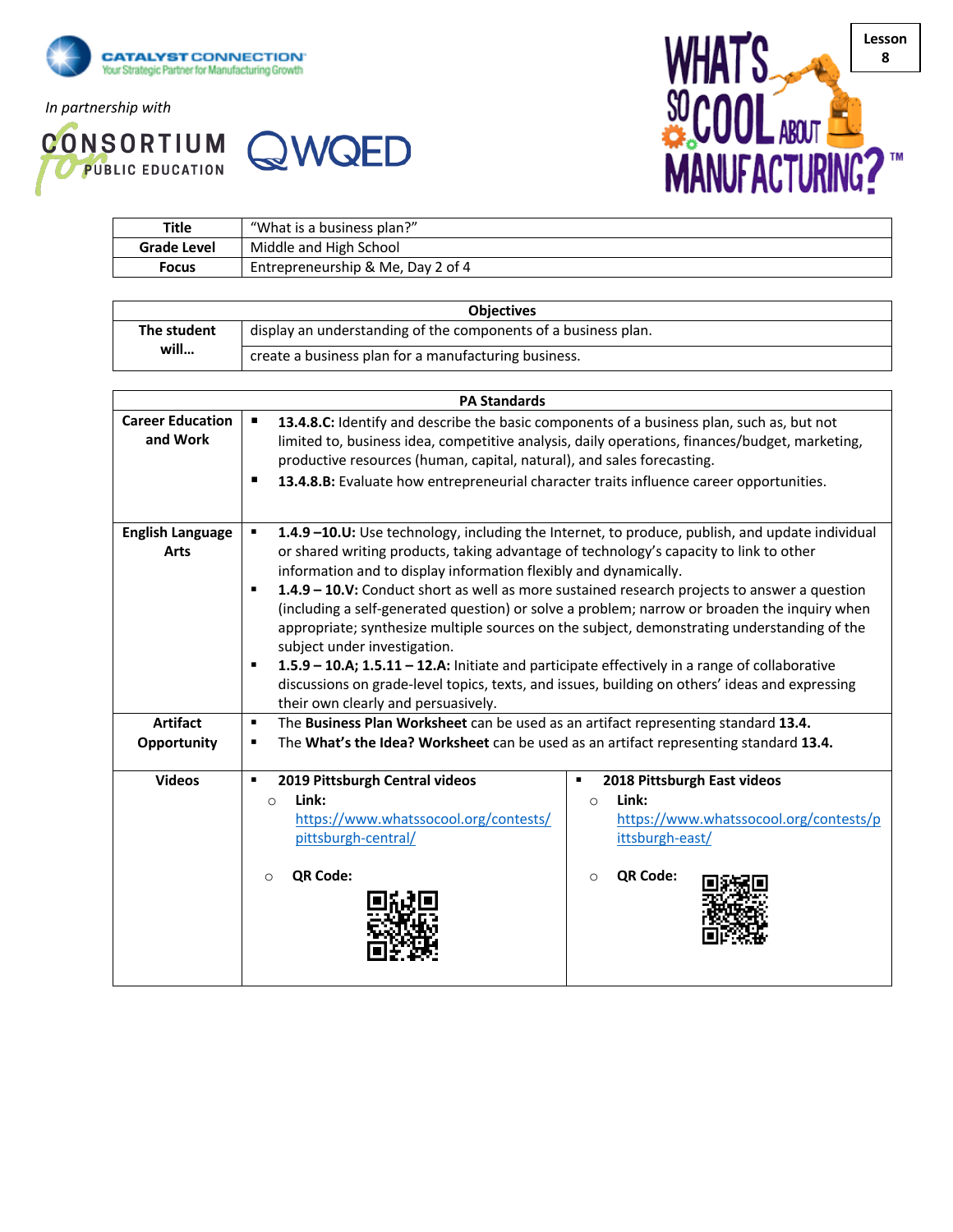

*In partnership with*

**CONSORTIUM QWQED** 



| <b>Title</b>       | "What is a business plan?"        |  |
|--------------------|-----------------------------------|--|
| <b>Grade Level</b> | Middle and High School            |  |
| Focus              | Entrepreneurship & Me, Day 2 of 4 |  |

| <b>Objectives</b>    |                                                                |  |
|----------------------|----------------------------------------------------------------|--|
| The student<br>will… | display an understanding of the components of a business plan. |  |
|                      | create a business plan for a manufacturing business.           |  |

| <b>PA Standards</b>                 |                                                                                                                                                                                                                                                                                                                                                                                                                                                                                                                                                                                                                                                                                                                                                                                                                                                       |  |  |  |  |
|-------------------------------------|-------------------------------------------------------------------------------------------------------------------------------------------------------------------------------------------------------------------------------------------------------------------------------------------------------------------------------------------------------------------------------------------------------------------------------------------------------------------------------------------------------------------------------------------------------------------------------------------------------------------------------------------------------------------------------------------------------------------------------------------------------------------------------------------------------------------------------------------------------|--|--|--|--|
| <b>Career Education</b><br>and Work | 13.4.8.C: Identify and describe the basic components of a business plan, such as, but not<br>٠<br>limited to, business idea, competitive analysis, daily operations, finances/budget, marketing,<br>productive resources (human, capital, natural), and sales forecasting.<br>13.4.8.B: Evaluate how entrepreneurial character traits influence career opportunities.                                                                                                                                                                                                                                                                                                                                                                                                                                                                                 |  |  |  |  |
|                                     |                                                                                                                                                                                                                                                                                                                                                                                                                                                                                                                                                                                                                                                                                                                                                                                                                                                       |  |  |  |  |
| <b>English Language</b><br>Arts     | 1.4.9 -10.U: Use technology, including the Internet, to produce, publish, and update individual<br>٠<br>or shared writing products, taking advantage of technology's capacity to link to other<br>information and to display information flexibly and dynamically.<br>1.4.9 - 10.V: Conduct short as well as more sustained research projects to answer a question<br>٠<br>(including a self-generated question) or solve a problem; narrow or broaden the inquiry when<br>appropriate; synthesize multiple sources on the subject, demonstrating understanding of the<br>subject under investigation.<br>1.5.9 - 10.A; 1.5.11 - 12.A: Initiate and participate effectively in a range of collaborative<br>٠<br>discussions on grade-level topics, texts, and issues, building on others' ideas and expressing<br>their own clearly and persuasively. |  |  |  |  |
| <b>Artifact</b><br>Opportunity      | The Business Plan Worksheet can be used as an artifact representing standard 13.4.<br>$\blacksquare$<br>The What's the Idea? Worksheet can be used as an artifact representing standard 13.4.<br>٠                                                                                                                                                                                                                                                                                                                                                                                                                                                                                                                                                                                                                                                    |  |  |  |  |
| <b>Videos</b>                       | 2019 Pittsburgh Central videos<br>2018 Pittsburgh East videos<br>٠<br>٠<br>Link:<br>Link:<br>$\circ$<br>$\circ$<br>https://www.whatssocool.org/contests/<br>https://www.whatssocool.org/contests/p<br>pittsburgh-central/<br>ittsburgh-east/<br>QR Code:<br>QR Code:<br>$\circ$<br>$\circ$                                                                                                                                                                                                                                                                                                                                                                                                                                                                                                                                                            |  |  |  |  |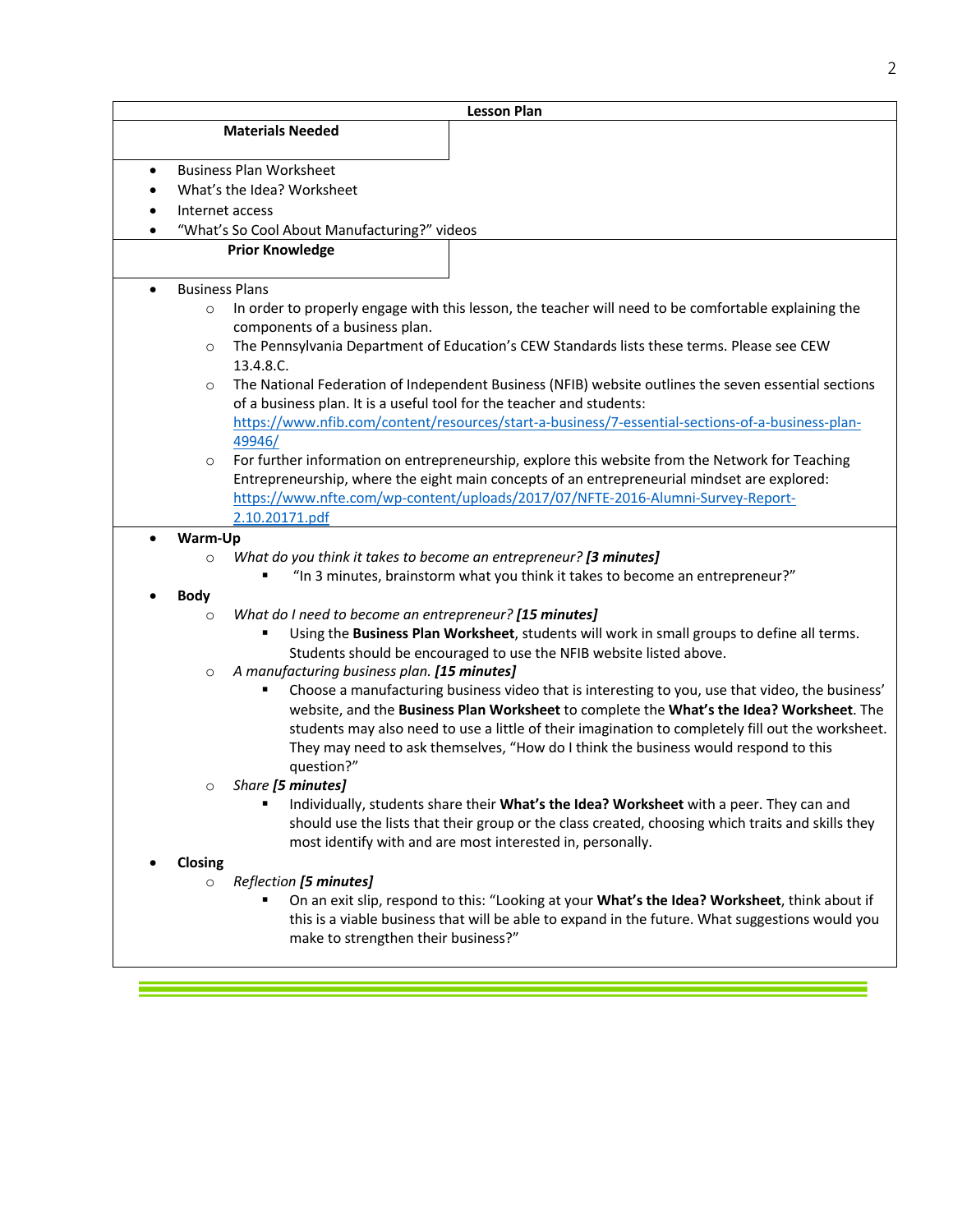| <b>Lesson Plan</b>    |                                                                                                                                                                                                                                                                                                                                                                                                            |  |
|-----------------------|------------------------------------------------------------------------------------------------------------------------------------------------------------------------------------------------------------------------------------------------------------------------------------------------------------------------------------------------------------------------------------------------------------|--|
|                       | <b>Materials Needed</b>                                                                                                                                                                                                                                                                                                                                                                                    |  |
|                       |                                                                                                                                                                                                                                                                                                                                                                                                            |  |
| $\bullet$             | <b>Business Plan Worksheet</b>                                                                                                                                                                                                                                                                                                                                                                             |  |
|                       | What's the Idea? Worksheet                                                                                                                                                                                                                                                                                                                                                                                 |  |
|                       | Internet access                                                                                                                                                                                                                                                                                                                                                                                            |  |
|                       | "What's So Cool About Manufacturing?" videos<br><b>Prior Knowledge</b>                                                                                                                                                                                                                                                                                                                                     |  |
|                       |                                                                                                                                                                                                                                                                                                                                                                                                            |  |
| <b>Business Plans</b> |                                                                                                                                                                                                                                                                                                                                                                                                            |  |
| $\circ$               | In order to properly engage with this lesson, the teacher will need to be comfortable explaining the<br>components of a business plan.                                                                                                                                                                                                                                                                     |  |
| $\circ$               | The Pennsylvania Department of Education's CEW Standards lists these terms. Please see CEW<br>13.4.8.C.                                                                                                                                                                                                                                                                                                    |  |
| $\circ$               | The National Federation of Independent Business (NFIB) website outlines the seven essential sections<br>of a business plan. It is a useful tool for the teacher and students:                                                                                                                                                                                                                              |  |
|                       | https://www.nfib.com/content/resources/start-a-business/7-essential-sections-of-a-business-plan-<br>49946/                                                                                                                                                                                                                                                                                                 |  |
| $\circ$               | For further information on entrepreneurship, explore this website from the Network for Teaching<br>Entrepreneurship, where the eight main concepts of an entrepreneurial mindset are explored:<br>https://www.nfte.com/wp-content/uploads/2017/07/NFTE-2016-Alumni-Survey-Report-<br>2.10.20171.pdf                                                                                                        |  |
| Warm-Up               |                                                                                                                                                                                                                                                                                                                                                                                                            |  |
| $\circ$               | What do you think it takes to become an entrepreneur? [3 minutes]                                                                                                                                                                                                                                                                                                                                          |  |
|                       | "In 3 minutes, brainstorm what you think it takes to become an entrepreneur?"                                                                                                                                                                                                                                                                                                                              |  |
| <b>Body</b>           |                                                                                                                                                                                                                                                                                                                                                                                                            |  |
| $\circ$               | What do I need to become an entrepreneur? [15 minutes]<br>Using the Business Plan Worksheet, students will work in small groups to define all terms.<br>Students should be encouraged to use the NFIB website listed above.                                                                                                                                                                                |  |
| $\circ$               | A manufacturing business plan. [15 minutes]                                                                                                                                                                                                                                                                                                                                                                |  |
|                       | Choose a manufacturing business video that is interesting to you, use that video, the business'<br>٠<br>website, and the Business Plan Worksheet to complete the What's the Idea? Worksheet. The<br>students may also need to use a little of their imagination to completely fill out the worksheet.<br>They may need to ask themselves, "How do I think the business would respond to this<br>question?" |  |
| O                     | Share [5 minutes]                                                                                                                                                                                                                                                                                                                                                                                          |  |
|                       | Individually, students share their What's the Idea? Worksheet with a peer. They can and<br>٠<br>should use the lists that their group or the class created, choosing which traits and skills they<br>most identify with and are most interested in, personally.                                                                                                                                            |  |
| Closing               |                                                                                                                                                                                                                                                                                                                                                                                                            |  |
| $\circ$               | Reflection [5 minutes]<br>On an exit slip, respond to this: "Looking at your What's the Idea? Worksheet, think about if<br>this is a viable business that will be able to expand in the future. What suggestions would you<br>make to strengthen their business?"                                                                                                                                          |  |

e<br>San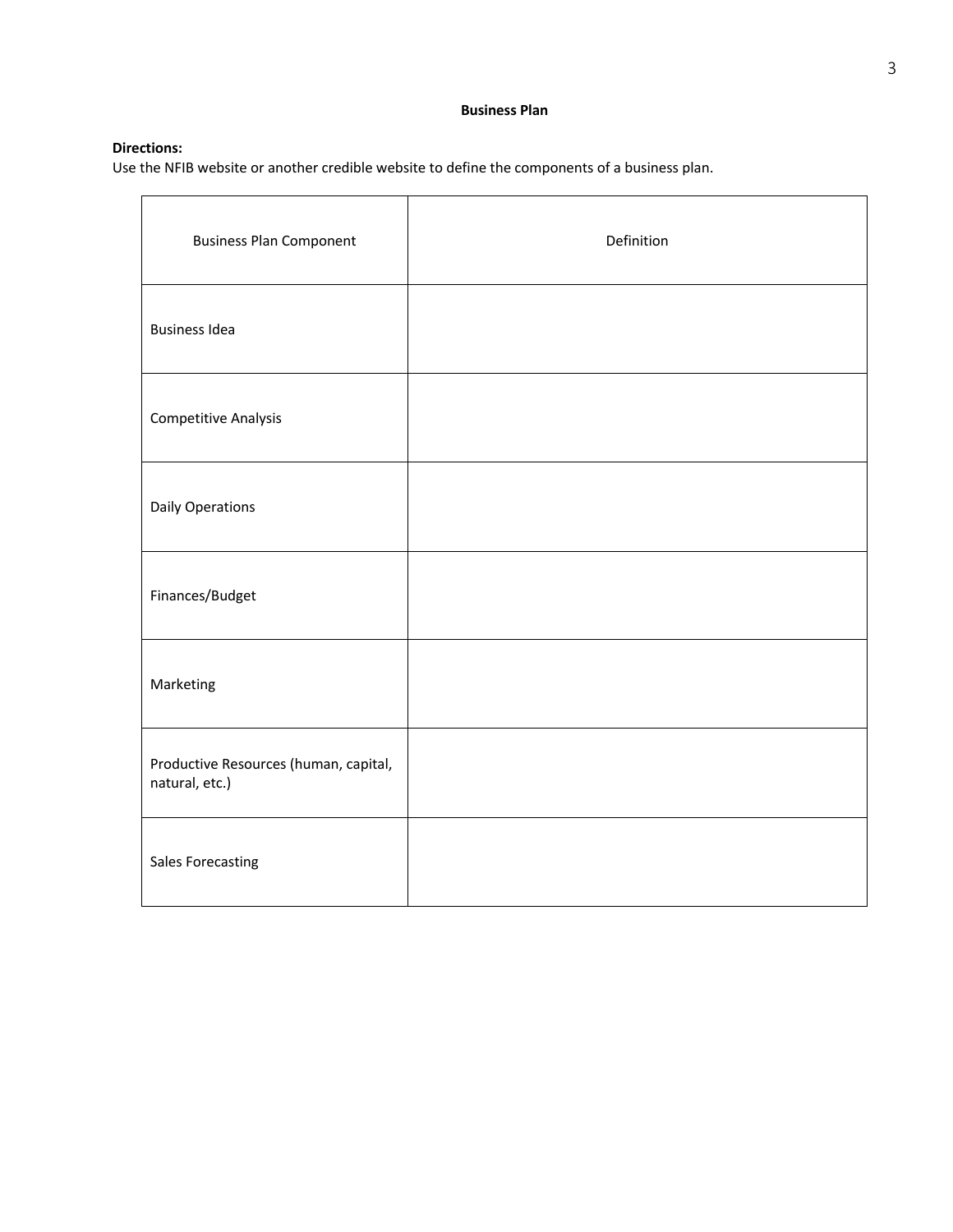## **Directions:**

Use the NFIB website or another credible website to define the components of a business plan.

| <b>Business Plan Component</b>                          | Definition |
|---------------------------------------------------------|------------|
| <b>Business Idea</b>                                    |            |
| <b>Competitive Analysis</b>                             |            |
| <b>Daily Operations</b>                                 |            |
| Finances/Budget                                         |            |
| Marketing                                               |            |
| Productive Resources (human, capital,<br>natural, etc.) |            |
| <b>Sales Forecasting</b>                                |            |